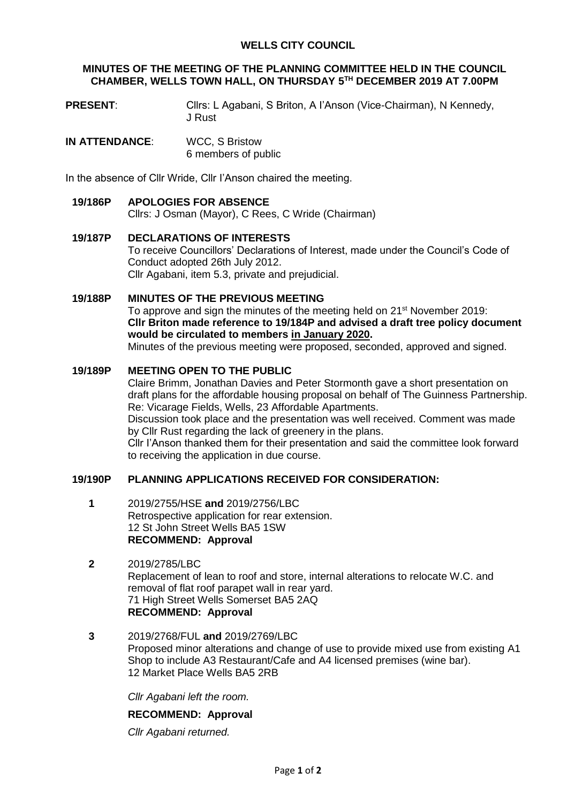## **WELLS CITY COUNCIL**

### **MINUTES OF THE MEETING OF THE PLANNING COMMITTEE HELD IN THE COUNCIL CHAMBER, WELLS TOWN HALL, ON THURSDAY 5 TH DECEMBER 2019 AT 7.00PM**

- **PRESENT:** Cllrs: L Agabani, S Briton, A l'Anson (Vice-Chairman), N Kennedy, J Rust
- **IN ATTENDANCE**: WCC, S Bristow 6 members of public

In the absence of Cllr Wride, Cllr I'Anson chaired the meeting.

- **19/186P APOLOGIES FOR ABSENCE** Cllrs: J Osman (Mayor), C Rees, C Wride (Chairman)
- **19/187P DECLARATIONS OF INTERESTS** To receive Councillors' Declarations of Interest, made under the Council's Code of Conduct adopted 26th July 2012. Cllr Agabani, item 5.3, private and prejudicial.
- **19/188P MINUTES OF THE PREVIOUS MEETING** To approve and sign the minutes of the meeting held on 21<sup>st</sup> November 2019: **Cllr Briton made reference to 19/184P and advised a draft tree policy document would be circulated to members in January 2020.** Minutes of the previous meeting were proposed, seconded, approved and signed.

## **19/189P MEETING OPEN TO THE PUBLIC**

Claire Brimm, Jonathan Davies and Peter Stormonth gave a short presentation on draft plans for the affordable housing proposal on behalf of The Guinness Partnership. Re: Vicarage Fields, Wells, 23 Affordable Apartments. Discussion took place and the presentation was well received. Comment was made by Cllr Rust regarding the lack of greenery in the plans. Cllr I'Anson thanked them for their presentation and said the committee look forward to receiving the application in due course.

## **19/190P PLANNING APPLICATIONS RECEIVED FOR CONSIDERATION:**

- **1** 2019/2755/HSE **and** 2019/2756/LBC Retrospective application for rear extension. 12 St John Street Wells BA5 1SW **RECOMMEND: Approval**
- **2** 2019/2785/LBC Replacement of lean to roof and store, internal alterations to relocate W.C. and removal of flat roof parapet wall in rear yard. 71 High Street Wells Somerset BA5 2AQ **RECOMMEND: Approval**
- **3** 2019/2768/FUL **and** 2019/2769/LBC Proposed minor alterations and change of use to provide mixed use from existing A1 Shop to include A3 Restaurant/Cafe and A4 licensed premises (wine bar). 12 Market Place Wells BA5 2RB

*Cllr Agabani left the room.*

#### **RECOMMEND: Approval**

*Cllr Agabani returned.*